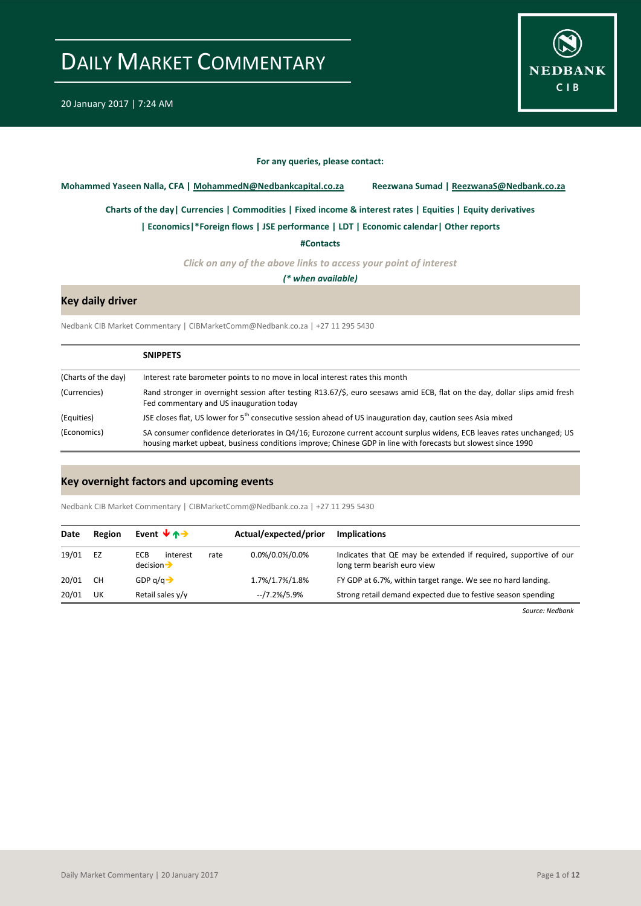

#### **For any queries, please contact:**

<span id="page-0-0"></span>**Mohammed Yaseen Nalla, CFA | MohammedN@Nedbankcapital.co.za Reezwana Sumad | ReezwanaS@Nedbank.co.za**

**[Charts of the day|](#page-1-0) [Currencies](#page-2-0) [| Commodities](#page-3-0) | [Fixed income & interest rates](#page-4-0) [| Equities](#page-5-0) | Equity derivatives**

**[| Economics|](#page-6-0)\*Foreign flows | [JSE performance](#page-8-0) [| LDT](#page-9-0) [| Economic calendar|](#page-9-1) Other reports** 

**[#Contacts](#page-10-0)**

*Click on any of the above links to access your point of interest*

*(\* when available)*

### **Key daily driver**

Nedbank CIB Market Commentary | CIBMarketComm@Nedbank.co.za | +27 11 295 5430

|                     | <b>SNIPPETS</b>                                                                                                                                                                                                                        |
|---------------------|----------------------------------------------------------------------------------------------------------------------------------------------------------------------------------------------------------------------------------------|
| (Charts of the day) | Interest rate barometer points to no move in local interest rates this month                                                                                                                                                           |
| (Currencies)        | Rand stronger in overnight session after testing R13.67/\$, euro seesaws amid ECB, flat on the day, dollar slips amid fresh<br>Fed commentary and US inauguration today                                                                |
| (Equities)          | JSE closes flat, US lower for 5 <sup>th</sup> consecutive session ahead of US inauguration day, caution sees Asia mixed                                                                                                                |
| (Economics)         | SA consumer confidence deteriorates in Q4/16; Eurozone current account surplus widens, ECB leaves rates unchanged; US<br>housing market upbeat, business conditions improve; Chinese GDP in line with forecasts but slowest since 1990 |

### **Key overnight factors and upcoming events**

Nedbank CIB Market Commentary | CIBMarketComm@Nedbank.co.za | +27 11 295 5430

| Date  | Region | Event $\forall$ $\land \rightarrow$                | Actual/expected/prior | <b>Implications</b>                                                                             |
|-------|--------|----------------------------------------------------|-----------------------|-------------------------------------------------------------------------------------------------|
| 19/01 | EZ     | ECB.<br>interest<br>rate<br>$decision \rightarrow$ | $0.0\%/0.0\%/0.0\%$   | Indicates that QE may be extended if required, supportive of our<br>long term bearish euro view |
| 20/01 | СH     | GDP $q/q \rightarrow$                              | 1.7%/1.7%/1.8%        | FY GDP at 6.7%, within target range. We see no hard landing.                                    |
| 20/01 | UK     | Retail sales $y/y$                                 | --/7.2%/5.9%          | Strong retail demand expected due to festive season spending                                    |

*Source: Nedbank*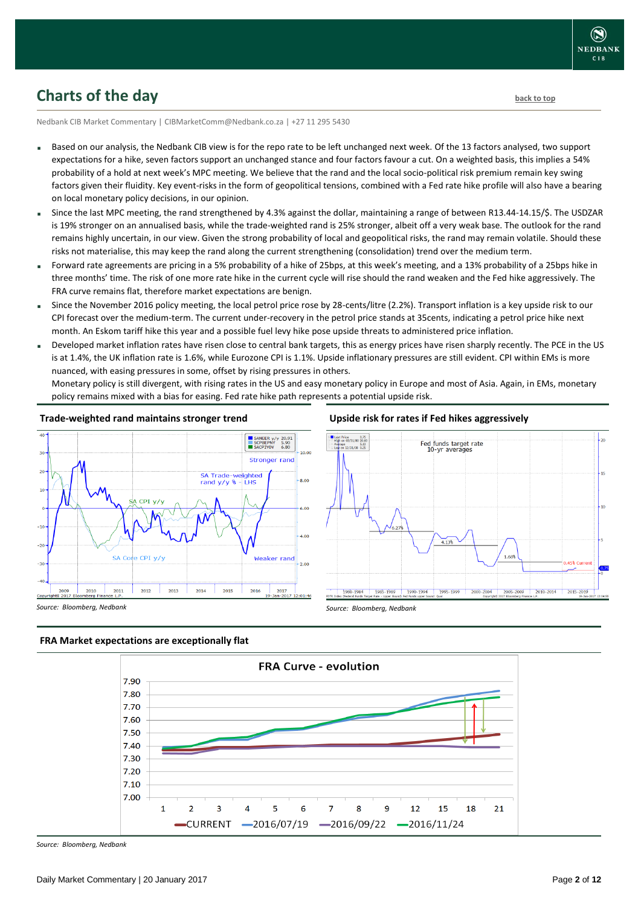

## <span id="page-1-0"></span>**Charts of the day** [back to top](#page-0-0) **back to top**

Nedbank CIB Market Commentary | CIBMarketComm@Nedbank.co.za | +27 11 295 5430

- Based on our analysis, the Nedbank CIB view is for the repo rate to be left unchanged next week. Of the 13 factors analysed, two support expectations for a hike, seven factors support an unchanged stance and four factors favour a cut. On a weighted basis, this implies a 54% probability of a hold at next week's MPC meeting. We believe that the rand and the local socio-political risk premium remain key swing factors given their fluidity. Key event-risks in the form of geopolitical tensions, combined with a Fed rate hike profile will also have a bearing on local monetary policy decisions, in our opinion.
- Since the last MPC meeting, the rand strengthened by 4.3% against the dollar, maintaining a range of between R13.44-14.15/\$. The USDZAR is 19% stronger on an annualised basis, while the trade-weighted rand is 25% stronger, albeit off a very weak base. The outlook for the rand remains highly uncertain, in our view. Given the strong probability of local and geopolitical risks, the rand may remain volatile. Should these risks not materialise, this may keep the rand along the current strengthening (consolidation) trend over the medium term.
- Forward rate agreements are pricing in a 5% probability of a hike of 25bps, at this week's meeting, and a 13% probability of a 25bps hike in three months' time. The risk of one more rate hike in the current cycle will rise should the rand weaken and the Fed hike aggressively. The FRA curve remains flat, therefore market expectations are benign.
- Since the November 2016 policy meeting, the local petrol price rose by 28-cents/litre (2.2%). Transport inflation is a key upside risk to our CPI forecast over the medium-term. The current under-recovery in the petrol price stands at 35cents, indicating a petrol price hike next month. An Eskom tariff hike this year and a possible fuel levy hike pose upside threats to administered price inflation.
- Developed market inflation rates have risen close to central bank targets, this as energy prices have risen sharply recently. The PCE in the US is at 1.4%, the UK inflation rate is 1.6%, while Eurozone CPI is 1.1%. Upside inflationary pressures are still evident. CPI within EMs is more nuanced, with easing pressures in some, offset by rising pressures in others.

Monetary policy is still divergent, with rising rates in the US and easy monetary policy in Europe and most of Asia. Again, in EMs, monetary policy remains mixed with a bias for easing. Fed rate hike path represents a potential upside risk.

## **Trade-weighted rand maintains stronger trend**



### **Upside risk for rates if Fed hikes aggressively**



### **FRA Market expectations are exceptionally flat**



*Source: Bloomberg, Nedbank*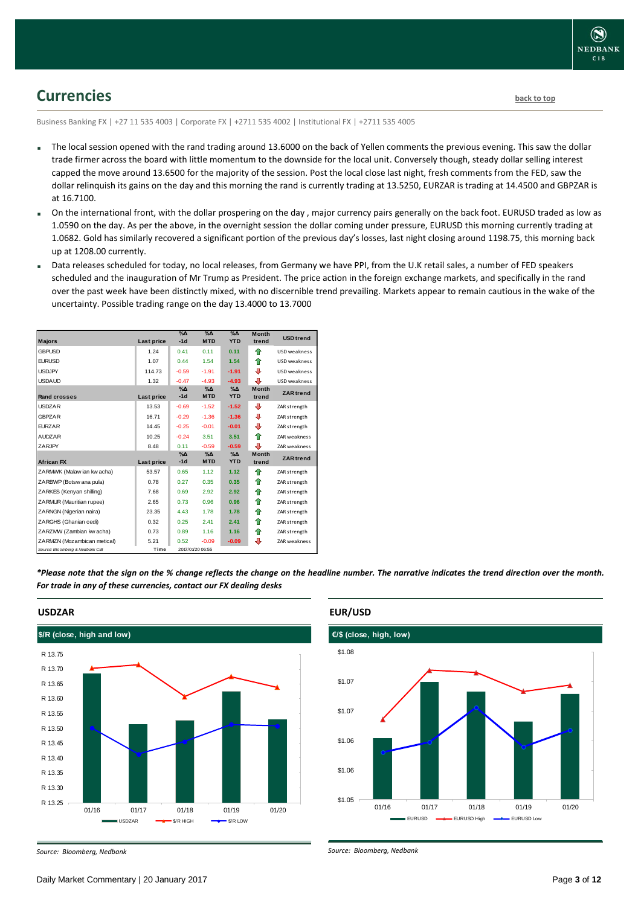## <span id="page-2-0"></span>**Currencies [back to top](#page-0-0)**

Business Banking FX | +27 11 535 4003 | Corporate FX | +2711 535 4002 | Institutional FX | +2711 535 4005

- The local session opened with the rand trading around 13.6000 on the back of Yellen comments the previous evening. This saw the dollar trade firmer across the board with little momentum to the downside for the local unit. Conversely though, steady dollar selling interest capped the move around 13.6500 for the majority of the session. Post the local close last night, fresh comments from the FED, saw the dollar relinquish its gains on the day and this morning the rand is currently trading at 13.5250, EURZAR is trading at 14.4500 and GBPZAR is at 16.7100.
- On the international front, with the dollar prospering on the day , major currency pairs generally on the back foot. EURUSD traded as low as 1.0590 on the day. As per the above, in the overnight session the dollar coming under pressure, EURUSD this morning currently trading at 1.0682. Gold has similarly recovered a significant portion of the previous day's losses, last night closing around 1198.75, this morning back up at 1208.00 currently.
- Data releases scheduled for today, no local releases, from Germany we have PPI, from the U.K retail sales, a number of FED speakers scheduled and the inauguration of Mr Trump as President. The price action in the foreign exchange markets, and specifically in the rand over the past week have been distinctly mixed, with no discernible trend prevailing. Markets appear to remain cautious in the wake of the uncertainty. Possible trading range on the day 13.4000 to 13.7000

| <b>Majors</b>                   | Last price | $\%$ $\Delta$<br>$-1d$ | $\%$ $\Delta$<br><b>MTD</b> | $\%$ $\Delta$<br><b>YTD</b> | <b>Month</b><br>trend | <b>USD trend</b>    |
|---------------------------------|------------|------------------------|-----------------------------|-----------------------------|-----------------------|---------------------|
|                                 |            |                        |                             |                             |                       |                     |
| <b>GBPUSD</b>                   | 1.24       | 0.41                   | 0.11                        | 0.11                        | ⇑                     | <b>USD</b> weakness |
| <b>EURUSD</b>                   | 1.07       | 0.44                   | 1.54                        | 1.54                        | ⇑                     | <b>USD</b> weakness |
| <b>USDJPY</b>                   | 114.73     | $-0.59$                | $-1.91$                     | $-1.91$                     | ⊕                     | USD weakness        |
| <b>USDAUD</b>                   | 1.32       | $-0.47$                | $-4.93$                     | $-4.93$                     | €                     | USD weakness        |
| <b>Rand crosses</b>             | Last price | $\%$ $\Delta$<br>$-1d$ | $\% \Delta$<br><b>MTD</b>   | $\% \Delta$<br><b>YTD</b>   | <b>Month</b><br>trend | <b>ZAR</b> trend    |
| <b>USDZAR</b>                   | 13.53      | $-0.69$                | $-1.52$                     | $-1.52$                     | ⊕                     | ZAR strength        |
| <b>GBPZAR</b>                   | 16.71      | $-0.29$                | $-1.36$                     | $-1.36$                     | ⊕                     | ZAR strength        |
| <b>FURZAR</b>                   | 14.45      | $-0.25$                | $-0.01$                     | $-0.01$                     | ⊕                     | ZAR strength        |
| <b>AUDZAR</b>                   | 10.25      | $-0.24$                | 3.51                        | 3.51                        | ♠                     | ZAR weakness        |
| ZARJPY                          | 8.48       | 0.11                   | $-0.59$                     | $-0.59$                     | ⊕                     | ZAR weakness        |
| <b>African FX</b>               | Last price | $\%$ $\Delta$<br>$-1d$ | $\% \Delta$<br><b>MTD</b>   | $\%$ $\Delta$<br><b>YTD</b> | <b>Month</b><br>trend | <b>ZAR</b> trend    |
| ZARMWK (Malaw ian kw acha)      | 53.57      | 0.65                   | 1.12                        | 1.12                        | ⇑                     | ZAR strength        |
| ZARBWP (Botsw ana pula)         | 0.78       | 0.27                   | 0.35                        | 0.35                        | ⇮                     | ZAR strength        |
| ZARKES (Kenyan shilling)        | 7.68       | 0.69                   | 2.92                        | 2.92                        | ⇑                     | ZAR strength        |
| ZARMUR (Mauritian rupee)        | 2.65       | 0.73                   | 0.96                        | 0.96                        | ⇑                     | ZAR strength        |
| ZARNGN (Nigerian naira)         | 23.35      | 4.43                   | 1.78                        | 1.78                        | ⇑                     | ZAR strength        |
| ZARGHS (Ghanian cedi)           | 0.32       | 0.25                   | 2.41                        | 2.41                        | ⇮                     | ZAR strength        |
| ZARZMW (Zambian kw acha)        | 0.73       | 0.89                   | 1.16                        | 1.16                        | ⇑                     | ZAR strength        |
| ZARMZN (Mozambican metical)     | 5.21       | 0.52                   | $-0.09$                     | $-0.09$                     | ⊕                     | ZAR weakness        |
| Source: Bloomberg & Nedbank CIB | Time       |                        | 2017/01/20 06:55            |                             |                       |                     |

*\*Please note that the sign on the % change reflects the change on the headline number. The narrative indicates the trend direction over the month. For trade in any of these currencies, contact our FX dealing desks*



### **USDZAR**





#### *Source: Bloomberg, Nedbank*

*Source: Bloomberg, Nedbank*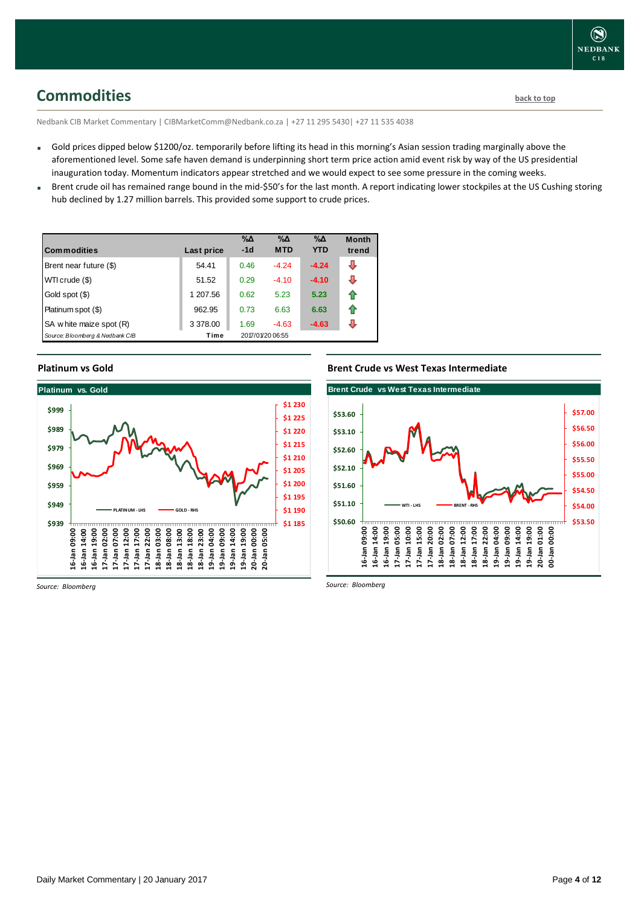## <span id="page-3-0"></span>**Commodities [back to top](#page-0-0)**

Nedbank CIB Market Commentary | CIBMarketComm@Nedbank.co.za | +27 11 295 5430| +27 11 535 4038

- Gold prices dipped below \$1200/oz. temporarily before lifting its head in this morning's Asian session trading marginally above the aforementioned level. Some safe haven demand is underpinning short term price action amid event risk by way of the US presidential inauguration today. Momentum indicators appear stretched and we would expect to see some pressure in the coming weeks.
- Brent crude oil has remained range bound in the mid-\$50's for the last month. A report indicating lower stockpiles at the US Cushing storing hub declined by 1.27 million barrels. This provided some support to crude prices.

| <b>Commodities</b>              | Last price | $\% \Delta$<br>$-1d$ | $\% \Delta$<br><b>MTD</b> | $\% \Delta$<br><b>YTD</b> | <b>Month</b><br>trend |
|---------------------------------|------------|----------------------|---------------------------|---------------------------|-----------------------|
| Brent near future (\$)          | 54.41      | 0.46                 | $-4.24$                   | $-4.24$                   | ⇩                     |
| WTI crude (\$)                  | 51.52      | 0.29                 | $-4.10$                   | $-4.10$                   | ⊕                     |
| Gold spot (\$)                  | 1 207.56   | 0.62                 | 5.23                      | 5.23                      | ⇑                     |
| Platinum spot (\$)              | 962.95     | 0.73                 | 6.63                      | 6.63                      | ⇑                     |
| SA w hite maize spot (R)        | 3 378.00   | 1.69                 | $-4.63$                   | $-4.63$                   | л                     |
| Source: Bloomberg & Nedbank CIB | Time       |                      | 2017/01/20 06:55          |                           |                       |

### **Platinum vs Gold**



### **Brent Crude vs West Texas Intermediate**



*Source: Bloomberg*

*Source: Bloomberg*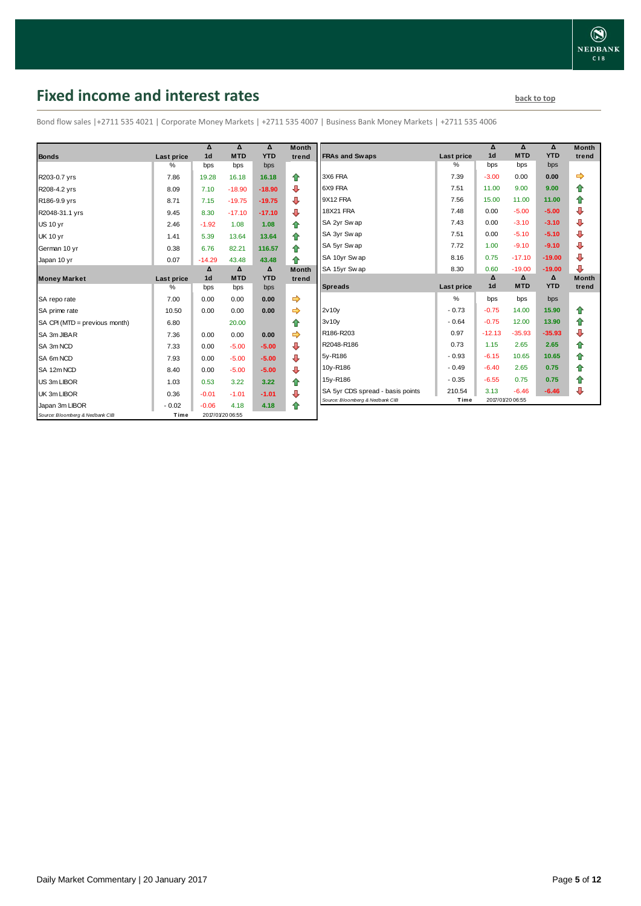## <span id="page-4-0"></span>**Fixed income and interest rates back to the line of the set of the set of the set of the set of the set of the set of the set of the set of the set of the set of the set of the set of the set of the set of the set of th**

Bond flow sales |+2711 535 4021 | Corporate Money Markets | +2711 535 4007 | Business Bank Money Markets | +2711 535 4006

|                                 |            | Δ              | Δ                | Δ          | <b>Month</b> |
|---------------------------------|------------|----------------|------------------|------------|--------------|
| <b>Bonds</b>                    | Last price | 1 <sub>d</sub> | <b>MTD</b>       | <b>YTD</b> | trend        |
|                                 | %          | bps            | bps              | bps        |              |
| R203-0.7 yrs                    | 7.86       | 19.28          | 16.18            | 16.18      | ⇑            |
| R208-4.2 yrs                    | 8.09       | 7.10           | $-18.90$         | $-18.90$   | ⊕            |
| R186-9.9 yrs                    | 8.71       | 7.15           | $-19.75$         | $-19.75$   | ⊕            |
| R2048-31.1 yrs                  | 9.45       | 8.30           | $-17.10$         | $-17.10$   | ⊕            |
| <b>US 10 yr</b>                 | 2.46       | $-1.92$        | 1.08             | 1.08       | 合            |
| <b>UK 10 yr</b>                 | 1.41       | 5.39           | 13.64            | 13.64      | ⇮            |
| German 10 yr                    | 0.38       | 6.76           | 82.21            | 116.57     | ⇑            |
| Japan 10 yr                     | 0.07       | $-14.29$       | 43.48            | 43.48      | ♠            |
|                                 |            | Δ              | Δ                | Δ          | <b>Month</b> |
| <b>Money Market</b>             | Last price | 1 <sub>d</sub> | <b>MTD</b>       | <b>YTD</b> | trend        |
|                                 | %          | bps            | bps              | bps        |              |
| SA repo rate                    | 7.00       | 0.00           | 0.00             | 0.00       | ➡            |
| SA prime rate                   | 10.50      | 0.00           | 0.00             | 0.00       | ⇛            |
| SA CPI (MTD = previous month)   | 6.80       |                | 20.00            |            | ⇮            |
| SA 3m JIBAR                     | 7.36       | 0.00           | 0.00             | 0.00       |              |
| SA 3m NCD                       | 7.33       | 0.00           | $-5.00$          | $-5.00$    | ⊕            |
| SA 6m NCD                       | 7.93       | 0.00           | $-5.00$          | $-5.00$    | ⇩            |
| SA 12m NCD                      | 8.40       | 0.00           | $-5.00$          | $-5.00$    | ⊕            |
| US 3m LIBOR                     | 1.03       | 0.53           | 3.22             | 3.22       | 合            |
| UK 3m LIBOR                     | 0.36       | $-0.01$        | $-1.01$          | $-1.01$    | ⊕            |
| Japan 3m LIBOR                  | $-0.02$    | $-0.06$        | 4.18             | 4.18       | ♠            |
| Source: Bloomberg & Nedbank CIB | Time       |                | 2017/01/20 06:55 |            |              |

| Month<br>trend | <b>FRAs and Swaps</b>            | Last price    | Δ<br>1 <sub>d</sub> | Δ<br><b>MTD</b> | Δ<br><b>YTD</b> | <b>Month</b><br>trend |
|----------------|----------------------------------|---------------|---------------------|-----------------|-----------------|-----------------------|
|                |                                  | %             | bps                 | bps             | bps             |                       |
| ✿              | 3X6 FRA                          | 7.39          | $-3.00$             | 0.00            | 0.00            | ⇨                     |
| ⊕              | 6X9 FRA                          | 7.51          | 11.00               | 9.00            | 9.00            | ⇮                     |
| ⊕              | 9X12 FRA                         | 7.56          | 15.00               | 11.00           | 11.00           | 合                     |
| ⊕              | <b>18X21 FRA</b>                 | 7.48          | 0.00                | $-5.00$         | $-5.00$         | ⊕                     |
| 合              | SA 2yr Sw ap                     | 7.43          | 0.00                | $-3.10$         | $-3.10$         | ⊕                     |
| ⇑              | SA 3yr Sw ap                     | 7.51          | 0.00                | $-5.10$         | $-5.10$         | ⊕                     |
| 合              | SA 5yr Swap                      | 7.72          | 1.00                | $-9.10$         | $-9.10$         | ⊕                     |
| 合              | SA 10yr Swap                     | 8.16          | 0.75                | $-17.10$        | $-19.00$        | ⊕                     |
| Month          | SA 15yr Swap                     | 8.30          | 0.60                | $-19.00$        | $-19.00$        | ⊕                     |
| trend          |                                  |               | Δ                   | Δ               | Δ               | <b>Month</b>          |
|                |                                  |               |                     |                 |                 |                       |
|                | <b>Spreads</b>                   | Last price    | 1 <sub>d</sub>      | <b>MTD</b>      | <b>YTD</b>      | trend                 |
|                |                                  | $\frac{9}{6}$ | bps                 | bps             | bps             |                       |
| ⇛<br>⇛         | 2v10v                            | $-0.73$       | $-0.75$             | 14.00           | 15.90           | ✿                     |
| 合              | 3v10v                            | $-0.64$       | $-0.75$             | 12.00           | 13.90           | ⇑                     |
| ⇛              | R186-R203                        | 0.97          | $-12.13$            | $-35.93$        | $-35.93$        | ⊕                     |
|                | R2048-R186                       | 0.73          | 1.15                | 2.65            | 2.65            | ⇮                     |
| ⊕              | 5y-R186                          | $-0.93$       | $-6.15$             | 10.65           | 10.65           | 合                     |
| ⊕              | 10y-R186                         | $-0.49$       | $-6.40$             | 2.65            | 0.75            | 合                     |
| ⊕              | 15y-R186                         | $-0.35$       | $-6.55$             | 0.75            | 0.75            | 合                     |
| 合<br>⊕         | SA 5yr CDS spread - basis points | 210.54        | 3.13                | $-6.46$         | $-6.46$         | ⊕                     |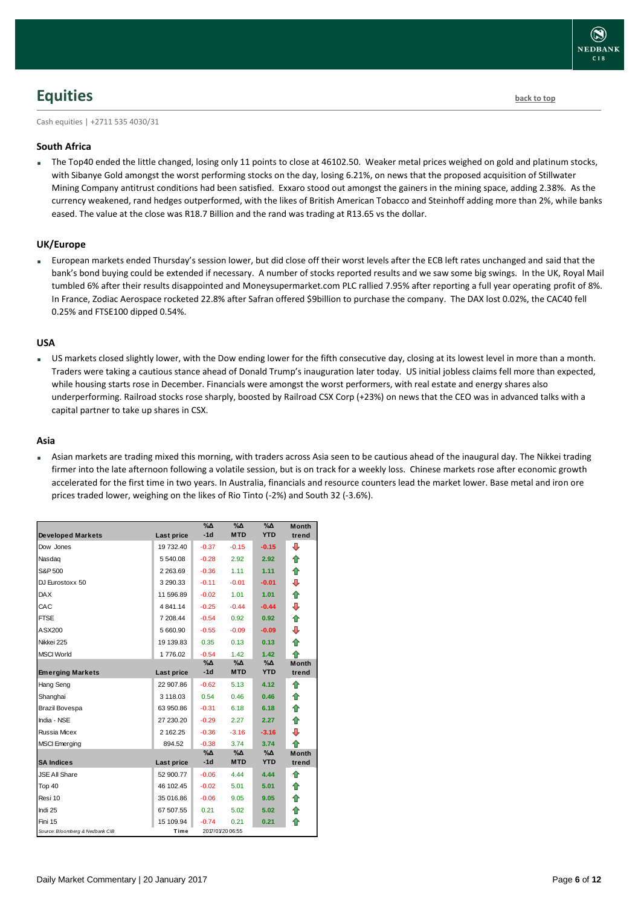

## <span id="page-5-0"></span>**Equities [back to top](#page-0-0)**

Cash equities | +2711 535 4030/31

### **South Africa**

The Top40 ended the little changed, losing only 11 points to close at 46102.50. Weaker metal prices weighed on gold and platinum stocks, with Sibanye Gold amongst the worst performing stocks on the day, losing 6.21%, on news that the proposed acquisition of Stillwater Mining Company antitrust conditions had been satisfied. Exxaro stood out amongst the gainers in the mining space, adding 2.38%. As the currency weakened, rand hedges outperformed, with the likes of British American Tobacco and Steinhoff adding more than 2%, while banks eased. The value at the close was R18.7 Billion and the rand was trading at R13.65 vs the dollar.

### **UK/Europe**

 European markets ended Thursday's session lower, but did close off their worst levels after the ECB left rates unchanged and said that the bank's bond buying could be extended if necessary. A number of stocks reported results and we saw some big swings. In the UK, Royal Mail tumbled 6% after their results disappointed and Moneysupermarket.com PLC rallied 7.95% after reporting a full year operating profit of 8%. In France, Zodiac Aerospace rocketed 22.8% after Safran offered \$9billion to purchase the company. The DAX lost 0.02%, the CAC40 fell 0.25% and FTSE100 dipped 0.54%.

### **USA**

 US markets closed slightly lower, with the Dow ending lower for the fifth consecutive day, closing at its lowest level in more than a month. Traders were taking a cautious stance ahead of Donald Trump's inauguration later today. US initial jobless claims fell more than expected, while housing starts rose in December. Financials were amongst the worst performers, with real estate and energy shares also underperforming. Railroad stocks rose sharply, boosted by Railroad CSX Corp (+23%) on news that the CEO was in advanced talks with a capital partner to take up shares in CSX.

### **Asia**

 Asian markets are trading mixed this morning, with traders across Asia seen to be cautious ahead of the inaugural day. The Nikkei trading firmer into the late afternoon following a volatile session, but is on track for a weekly loss. Chinese markets rose after economic growth accelerated for the first time in two years. In Australia, financials and resource counters lead the market lower. Base metal and iron ore prices traded lower, weighing on the likes of Rio Tinto (-2%) and South 32 (-3.6%).

| <b>Developed Markets</b>        | Last price | $\Delta_0$<br>$-1d$ | $\sqrt{20}$<br><b>MTD</b> | $\%$ $\Lambda$<br><b>YTD</b> | <b>Month</b><br>trend |
|---------------------------------|------------|---------------------|---------------------------|------------------------------|-----------------------|
| Dow Jones                       | 19 732.40  | $-0.37$             | $-0.15$                   | $-0.15$                      | ⊕                     |
| Nasdaq                          | 5 540.08   | $-0.28$             | 2.92                      | 2.92                         | ⇮                     |
| S&P 500                         | 2 263.69   | $-0.36$             | 1.11                      | 1.11                         | ⇮                     |
| DJ Eurostoxx 50                 | 3 290.33   | $-0.11$             | $-0.01$                   | $-0.01$                      | ⇩                     |
| <b>DAX</b>                      | 11 596.89  | $-0.02$             | 1.01                      | 1.01                         | ⇑                     |
| CAC                             | 4841.14    | $-0.25$             | $-0.44$                   | $-0.44$                      | ⊕                     |
| <b>FTSE</b>                     | 7 208.44   | $-0.54$             | 0.92                      | 0.92                         | ⇮                     |
|                                 |            |                     |                           |                              |                       |
| ASX200                          | 5 660.90   | $-0.55$             | $-0.09$                   | $-0.09$                      | ⊕                     |
| Nikkei 225                      | 19 139.83  | 0.35                | 0.13                      | 0.13                         | ⇑                     |
| <b>MSCI World</b>               | 1776.02    | $-0.54$<br>%Δ       | 1.42<br>%Δ                | 1.42<br>%Δ                   | ♠<br><b>Month</b>     |
| <b>Emerging Markets</b>         | Last price | $-1d$               | <b>MTD</b>                | <b>YTD</b>                   | trend                 |
| Hang Seng                       | 22 907.86  | $-0.62$             | 5.13                      | 4.12                         | ♠                     |
| Shanghai                        | 3 118.03   | 0.54                | 0.46                      | 0.46                         | ⇑                     |
| Brazil Bovespa                  | 63 950.86  | $-0.31$             | 6.18                      | 6.18                         | ♠                     |
| India - NSE                     | 27 230.20  | $-0.29$             | 2.27                      | 2.27                         | ♠                     |
| <b>Russia Micex</b>             | 2 162.25   | $-0.36$             | $-3.16$                   | $-3.16$                      | ⊕                     |
| <b>MSCI</b> Emerging            | 894.52     | $-0.38$             | 3.74                      | 3.74                         | ♠                     |
|                                 |            | %Δ                  | %Δ                        | $\%$ $\Delta$                | <b>Month</b>          |
| <b>SA Indices</b>               | Last price | $-1d$               | <b>MTD</b>                | <b>YTD</b>                   | trend                 |
| <b>JSE All Share</b>            | 52 900.77  | $-0.06$             | 4.44                      | 4.44                         | ⇑                     |
| Top 40                          | 46 102.45  | $-0.02$             | 5.01                      | 5.01                         | ♠                     |
| Resi 10                         | 35 016.86  | $-0.06$             | 9.05                      | 9.05                         | ♠                     |
| Indi 25                         | 67 507.55  | 0.21                | 5.02                      | 5.02                         | ⇑                     |
| Fini 15                         | 15 109.94  | $-0.74$             | 0.21                      | 0.21                         | ⇑                     |
| Source: Bloomberg & Nedbank CIB | Time       |                     | 2017/01/20 06:55          |                              |                       |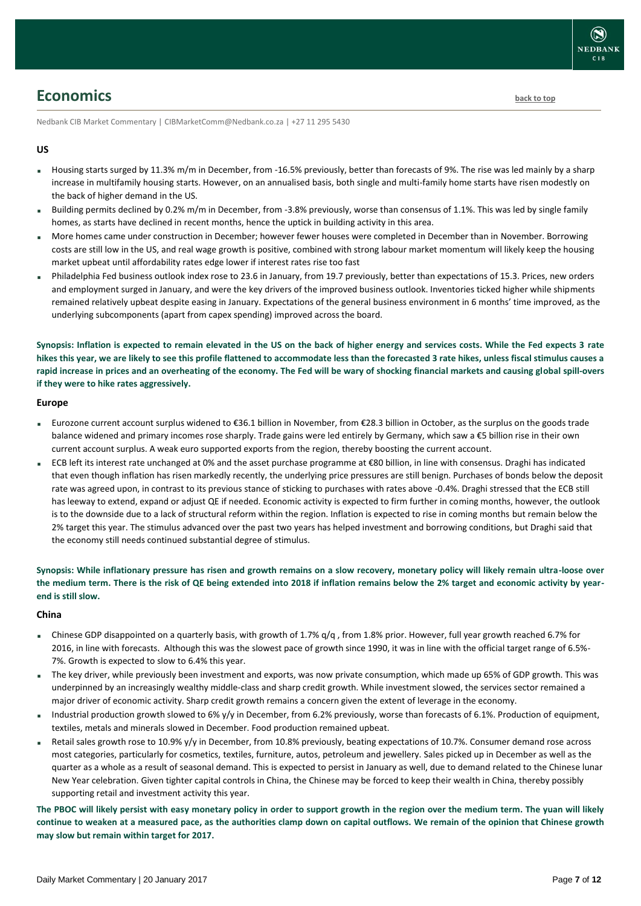## <span id="page-6-0"></span>**Economics [back to top](#page-0-0)**

Nedbank CIB Market Commentary | CIBMarketComm@Nedbank.co.za | +27 11 295 5430

### **US**

- Housing starts surged by 11.3% m/m in December, from -16.5% previously, better than forecasts of 9%. The rise was led mainly by a sharp increase in multifamily housing starts. However, on an annualised basis, both single and multi-family home starts have risen modestly on the back of higher demand in the US.
- Building permits declined by 0.2% m/m in December, from -3.8% previously, worse than consensus of 1.1%. This was led by single family homes, as starts have declined in recent months, hence the uptick in building activity in this area.
- More homes came under construction in December; however fewer houses were completed in December than in November. Borrowing costs are still low in the US, and real wage growth is positive, combined with strong labour market momentum will likely keep the housing market upbeat until affordability rates edge lower if interest rates rise too fast
- Philadelphia Fed business outlook index rose to 23.6 in January, from 19.7 previously, better than expectations of 15.3. Prices, new orders and employment surged in January, and were the key drivers of the improved business outlook. Inventories ticked higher while shipments remained relatively upbeat despite easing in January. Expectations of the general business environment in 6 months' time improved, as the underlying subcomponents (apart from capex spending) improved across the board.

**Synopsis: Inflation is expected to remain elevated in the US on the back of higher energy and services costs. While the Fed expects 3 rate hikes this year, we are likely to see this profile flattened to accommodate less than the forecasted 3 rate hikes, unless fiscal stimulus causes a rapid increase in prices and an overheating of the economy. The Fed will be wary of shocking financial markets and causing global spill-overs if they were to hike rates aggressively.**

### **Europe**

- Eurozone current account surplus widened to €36.1 billion in November, from €28.3 billion in October, as the surplus on the goods trade balance widened and primary incomes rose sharply. Trade gains were led entirely by Germany, which saw a €5 billion rise in their own current account surplus. A weak euro supported exports from the region, thereby boosting the current account.
- ECB left its interest rate unchanged at 0% and the asset purchase programme at €80 billion, in line with consensus. Draghi has indicated that even though inflation has risen markedly recently, the underlying price pressures are still benign. Purchases of bonds below the deposit rate was agreed upon, in contrast to its previous stance of sticking to purchases with rates above -0.4%. Draghi stressed that the ECB still has leeway to extend, expand or adjust QE if needed. Economic activity is expected to firm further in coming months, however, the outlook is to the downside due to a lack of structural reform within the region. Inflation is expected to rise in coming months but remain below the 2% target this year. The stimulus advanced over the past two years has helped investment and borrowing conditions, but Draghi said that the economy still needs continued substantial degree of stimulus.

**Synopsis: While inflationary pressure has risen and growth remains on a slow recovery, monetary policy will likely remain ultra-loose over the medium term. There is the risk of QE being extended into 2018 if inflation remains below the 2% target and economic activity by yearend is still slow.** 

### **China**

- Chinese GDP disappointed on a quarterly basis, with growth of 1.7%  $q/q$ , from 1.8% prior. However, full year growth reached 6.7% for 2016, in line with forecasts. Although this was the slowest pace of growth since 1990, it was in line with the official target range of 6.5%- 7%. Growth is expected to slow to 6.4% this year.
- The key driver, while previously been investment and exports, was now private consumption, which made up 65% of GDP growth. This was underpinned by an increasingly wealthy middle-class and sharp credit growth. While investment slowed, the services sector remained a major driver of economic activity. Sharp credit growth remains a concern given the extent of leverage in the economy.
- Industrial production growth slowed to 6% y/y in December, from 6.2% previously, worse than forecasts of 6.1%. Production of equipment, textiles, metals and minerals slowed in December. Food production remained upbeat.
- Retail sales growth rose to 10.9% y/y in December, from 10.8% previously, beating expectations of 10.7%. Consumer demand rose across most categories, particularly for cosmetics, textiles, furniture, autos, petroleum and jewellery. Sales picked up in December as well as the quarter as a whole as a result of seasonal demand. This is expected to persist in January as well, due to demand related to the Chinese lunar New Year celebration. Given tighter capital controls in China, the Chinese may be forced to keep their wealth in China, thereby possibly supporting retail and investment activity this year.

**The PBOC will likely persist with easy monetary policy in order to support growth in the region over the medium term. The yuan will likely continue to weaken at a measured pace, as the authorities clamp down on capital outflows. We remain of the opinion that Chinese growth may slow but remain within target for 2017.**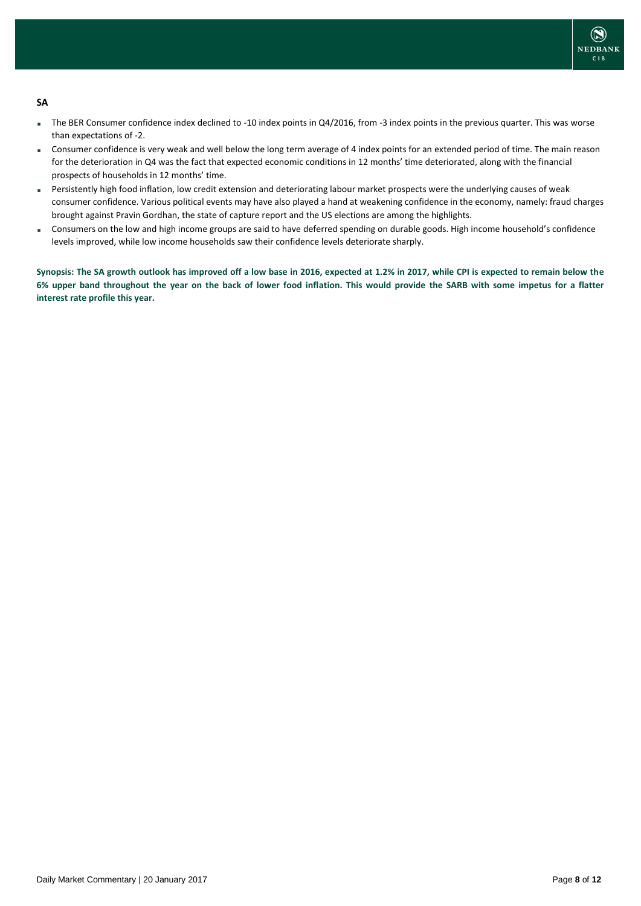

### **SA**

- The BER Consumer confidence index declined to -10 index points in Q4/2016, from -3 index points in the previous quarter. This was worse than expectations of -2.
- Consumer confidence is very weak and well below the long term average of 4 index points for an extended period of time. The main reason for the deterioration in Q4 was the fact that expected economic conditions in 12 months' time deteriorated, along with the financial prospects of households in 12 months' time.
- Persistently high food inflation, low credit extension and deteriorating labour market prospects were the underlying causes of weak consumer confidence. Various political events may have also played a hand at weakening confidence in the economy, namely: fraud charges brought against Pravin Gordhan, the state of capture report and the US elections are among the highlights.
- Consumers on the low and high income groups are said to have deferred spending on durable goods. High income household's confidence levels improved, while low income households saw their confidence levels deteriorate sharply.

**Synopsis: The SA growth outlook has improved off a low base in 2016, expected at 1.2% in 2017, while CPI is expected to remain below the 6% upper band throughout the year on the back of lower food inflation. This would provide the SARB with some impetus for a flatter interest rate profile this year.**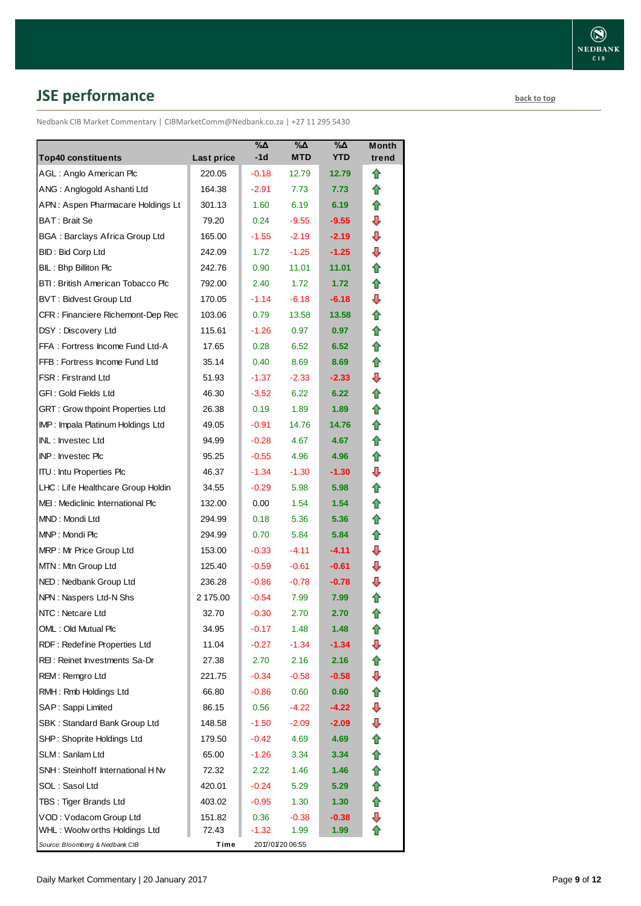# <span id="page-8-0"></span>**JSE performance [back to top](#page-0-0)**

Nedbank CIB Market Commentary | CIBMarketComm@Nedbank.co.za | +27 11 295 5430

| <b>Top40 constituents</b>                                |                      | $\%$ $\Delta$<br>$-1d$ | %Δ<br><b>MTD</b> | $\% \Delta$<br><b>YTD</b> | Month<br>trend |
|----------------------------------------------------------|----------------------|------------------------|------------------|---------------------------|----------------|
| AGL: Anglo American Plc                                  | Last price<br>220.05 | $-0.18$                | 12.79            | 12.79                     | ⇑              |
| ANG: Anglogold Ashanti Ltd                               | 164.38               | $-2.91$                | 7.73             | 7.73                      | ⇑              |
| APN: Aspen Pharmacare Holdings Lt                        | 301.13               | 1.60                   | 6.19             | 6.19                      | ⇑              |
| BAT: Brait Se                                            | 79.20                | 0.24                   | $-9.55$          | $-9.55$                   | ⊕              |
| BGA: Barclays Africa Group Ltd                           | 165.00               | $-1.55$                | $-2.19$          | $-2.19$                   | ⇩              |
| <b>BID: Bid Corp Ltd</b>                                 | 242.09               | 1.72                   | $-1.25$          | $-1.25$                   | ⇩              |
| BIL: Bhp Billiton Plc                                    | 242.76               | 0.90                   | 11.01            | 11.01                     | ✿              |
| BTI: British American Tobacco Plc                        | 792.00               | 2.40                   | 1.72             | 1.72 <sub>1</sub>         | ✿              |
| <b>BVT: Bidvest Group Ltd</b>                            | 170.05               | $-1.14$                | $-6.18$          | $-6.18$                   | ⇩              |
| CFR : Financiere Richemont-Dep Rec                       | 103.06               | 0.79                   | 13.58            | 13.58                     | ⇑              |
| DSY: Discovery Ltd                                       | 115.61               | $-1.26$                | 0.97             | 0.97                      | ✿              |
| FFA: Fortress Income Fund Ltd-A                          | 17.65                | 0.28                   | 6.52             | 6.52                      | ⇑              |
| FFB: Fortress Income Fund Ltd                            | 35.14                | 0.40                   | 8.69             | 8.69                      | ⇑              |
| FSR: Firstrand Ltd                                       | 51.93                | $-1.37$                | $-2.33$          | $-2.33$                   | ⇩              |
| GFI : Gold Fields Ltd                                    | 46.30                | $-3.52$                | 6.22             | 6.22                      | ✿              |
| GRT: Grow thpoint Properties Ltd                         | 26.38                | 0.19                   | 1.89             | 1.89                      | ✿              |
| IMP: Impala Platinum Holdings Ltd                        | 49.05                | $-0.91$                | 14.76            | 14.76                     | ⇑              |
| INL: Investec Ltd                                        | 94.99                | $-0.28$                | 4.67             | 4.67                      | ⇑              |
| INP: Investec Plc                                        | 95.25                | $-0.55$                | 4.96             | 4.96                      | ✿              |
| <b>ITU: Intu Properties Plc</b>                          | 46.37                | -1.34                  | $-1.30$          | $-1.30$                   | ⊕              |
| LHC: Life Healthcare Group Holdin                        | 34.55                | $-0.29$                | 5.98             | 5.98                      | ✿              |
| MEI: Mediclinic International Plc                        |                      |                        | 1.54             | 1.54                      | ✿              |
| MND: Mondi Ltd                                           | 132.00               | 0.00                   | 5.36             | 5.36                      | ✿              |
| MNP: Mondi Plc                                           | 294.99               | 0.18                   |                  | 5.84                      | ⇑              |
| MRP: Mr Price Group Ltd                                  | 294.99               | 0.70                   | 5.84<br>$-4.11$  | $-4.11$                   | ⇩              |
| MTN: Mtn Group Ltd                                       | 153.00<br>125.40     | $-0.33$<br>$-0.59$     | $-0.61$          | $-0.61$                   | ⇩              |
| NED: Nedbank Group Ltd                                   | 236.28               | $-0.86$                | $-0.78$          | $-0.78$                   | ⇩              |
| NPN: Naspers Ltd-N Shs                                   | 2 175.00             | $-0.54$                | 7.99             | 7.99                      | ⇑              |
| NTC: Netcare Ltd                                         | 32.70                | $-0.30$                | 2.70             | 2.70                      |                |
| OML: Old Mutual Plc                                      |                      |                        | 1.48             | 1.48                      | ✿              |
| RDF: Redefine Properties Ltd                             | 34.95<br>11.04       | $-0.17$<br>$-0.27$     | -1.34            | -1.34                     | ⇑<br>⇩         |
| REI : Reinet Investments Sa-Dr                           | 27.38                | 2.70                   | 2.16             | 2.16                      | ⇮              |
| REM: Remgro Ltd                                          | 221.75               | $-0.34$                | $-0.58$          | $-0.58$                   | ⇩              |
| RMH: Rmb Holdings Ltd                                    | 66.80                | $-0.86$                | 0.60             | 0.60                      | ⇑              |
| SAP: Sappi Limited                                       | 86.15                | 0.56                   | -4.22            | -4.22                     | ⊕              |
| SBK: Standard Bank Group Ltd                             |                      |                        |                  |                           | ⊕              |
|                                                          | 148.58               | $-1.50$                | $-2.09$<br>4.69  | $-2.09$                   |                |
| SHP: Shoprite Holdings Ltd<br>SLM : Sanlam Ltd           | 179.50               | $-0.42$<br>$-1.26$     |                  | 4.69                      | ⇮              |
|                                                          | 65.00                |                        | 3.34             | 3.34                      | ⇑<br>⇑         |
| SNH : Steinhoff International H Nv                       | 72.32                | 2.22                   | 1.46             | 1.46                      | 合              |
| SOL : Sasol Ltd                                          | 420.01               | $-0.24$                | 5.29             | 5.29                      |                |
| TBS: Tiger Brands Ltd                                    | 403.02               | $-0.95$                | 1.30             | 1.30                      | 合<br>⇩         |
| VOD: Vodacom Group Ltd<br>WHL : Woolw orths Holdings Ltd | 151.82<br>72.43      | 0.36<br>-1.32          | $-0.38$<br>1.99  | $-0.38$<br>1.99           | ⇑              |
| Source: Bloomberg & Nedbank CIB                          | Time                 |                        | 2017/01/20 06:55 |                           |                |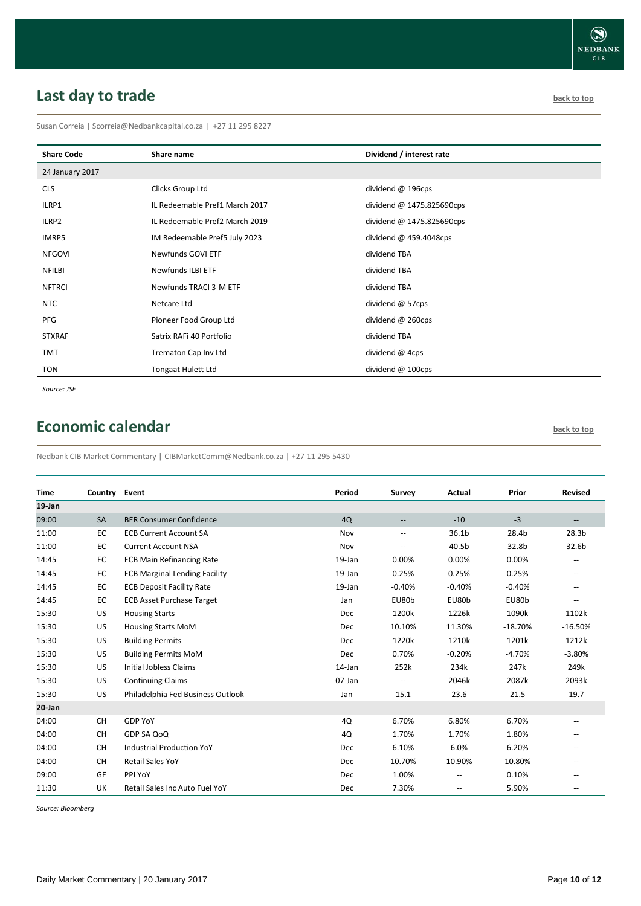# <span id="page-9-0"></span>**Last day to trade back to the contract of the contract of the contract of the contract of the contract of the contract of the contract of the contract of the contract of the contract of the contract of the contract of t**

Susan Correia | [Scorreia@Nedbankcapital.co.za](mailto:Scorreia@Nedbankcapital.co.za) | +27 11 295 8227

| <b>Share Code</b> | Share name                     | Dividend / interest rate  |
|-------------------|--------------------------------|---------------------------|
| 24 January 2017   |                                |                           |
| <b>CLS</b>        | Clicks Group Ltd               | dividend @ 196cps         |
| ILRP1             | IL Redeemable Pref1 March 2017 | dividend @ 1475.825690cps |
| ILRP2             | IL Redeemable Pref2 March 2019 | dividend @ 1475.825690cps |
| IMRP5             | IM Redeemable Pref5 July 2023  | dividend @ 459.4048cps    |
| <b>NFGOVI</b>     | Newfunds GOVI ETF              | dividend TBA              |
| <b>NFILBI</b>     | Newfunds ILBI ETF              | dividend TBA              |
| <b>NFTRCI</b>     | Newfunds TRACI 3-M ETF         | dividend TBA              |
| <b>NTC</b>        | Netcare Ltd                    | dividend @ 57cps          |
| PFG               | Pioneer Food Group Ltd         | dividend @ 260cps         |
| <b>STXRAF</b>     | Satrix RAFi 40 Portfolio       | dividend TBA              |
| <b>TMT</b>        | Trematon Cap Inv Ltd           | dividend @ 4cps           |
| <b>TON</b>        | <b>Tongaat Hulett Ltd</b>      | dividend @ 100cps         |

*Source: JSE*

## <span id="page-9-1"></span>**Economic calendar [back to top](#page-0-0) back to top**

Nedbank CIB Market Commentary | CIBMarketComm@Nedbank.co.za | +27 11 295 5430

| <b>Time</b> | Country   | Event                                | Period    | <b>Survey</b>            | Actual   | Prior     | <b>Revised</b>           |
|-------------|-----------|--------------------------------------|-----------|--------------------------|----------|-----------|--------------------------|
| 19-Jan      |           |                                      |           |                          |          |           |                          |
| 09:00       | <b>SA</b> | <b>BER Consumer Confidence</b>       | 4Q        | $\overline{\phantom{m}}$ | $-10$    | $-3$      | $\overline{\phantom{a}}$ |
| 11:00       | EC        | <b>ECB Current Account SA</b>        | Nov       | $\overline{\phantom{a}}$ | 36.1b    | 28.4b     | 28.3 <sub>b</sub>        |
| 11:00       | EC        | <b>Current Account NSA</b>           | Nov       | $\overline{\phantom{a}}$ | 40.5b    | 32.8b     | 32.6b                    |
| 14:45       | EC        | <b>ECB Main Refinancing Rate</b>     | 19-Jan    | 0.00%                    | 0.00%    | 0.00%     |                          |
| 14:45       | EC        | <b>ECB Marginal Lending Facility</b> | 19-Jan    | 0.25%                    | 0.25%    | 0.25%     | $\overline{\phantom{a}}$ |
| 14:45       | EC        | <b>ECB Deposit Facility Rate</b>     | $19$ -Jan | $-0.40%$                 | $-0.40%$ | $-0.40%$  | $\overline{\phantom{a}}$ |
| 14:45       | EC        | <b>ECB Asset Purchase Target</b>     | Jan       | EU80b                    | EU80b    | EU80b     |                          |
| 15:30       | US        | <b>Housing Starts</b>                | Dec       | 1200k                    | 1226k    | 1090k     | 1102k                    |
| 15:30       | US        | <b>Housing Starts MoM</b>            | Dec       | 10.10%                   | 11.30%   | $-18.70%$ | $-16.50%$                |
| 15:30       | US        | <b>Building Permits</b>              | Dec       | 1220k                    | 1210k    | 1201k     | 1212k                    |
| 15:30       | US        | <b>Building Permits MoM</b>          | Dec       | 0.70%                    | $-0.20%$ | $-4.70%$  | $-3.80%$                 |
| 15:30       | US        | Initial Jobless Claims               | 14-Jan    | 252k                     | 234k     | 247k      | 249k                     |
| 15:30       | US        | <b>Continuing Claims</b>             | 07-Jan    | $\overline{\phantom{a}}$ | 2046k    | 2087k     | 2093k                    |
| 15:30       | US        | Philadelphia Fed Business Outlook    | Jan       | 15.1                     | 23.6     | 21.5      | 19.7                     |
| 20-Jan      |           |                                      |           |                          |          |           |                          |
| 04:00       | <b>CH</b> | <b>GDP YoY</b>                       | 4Q        | 6.70%                    | 6.80%    | 6.70%     | $\overline{\phantom{a}}$ |
| 04:00       | CH        | GDP SA QoQ                           | 4Q        | 1.70%                    | 1.70%    | 1.80%     | $\overline{\phantom{a}}$ |
| 04:00       | <b>CH</b> | <b>Industrial Production YoY</b>     | Dec       | 6.10%                    | 6.0%     | 6.20%     | $\overline{\phantom{a}}$ |
| 04:00       | <b>CH</b> | <b>Retail Sales YoY</b>              | Dec       | 10.70%                   | 10.90%   | 10.80%    | --                       |
| 09:00       | GE        | PPI YoY                              | Dec       | 1.00%                    | --       | 0.10%     |                          |
| 11:30       | UK        | Retail Sales Inc Auto Fuel YoY       | Dec       | 7.30%                    | --       | 5.90%     | $\overline{\phantom{a}}$ |

*Source: Bloomberg*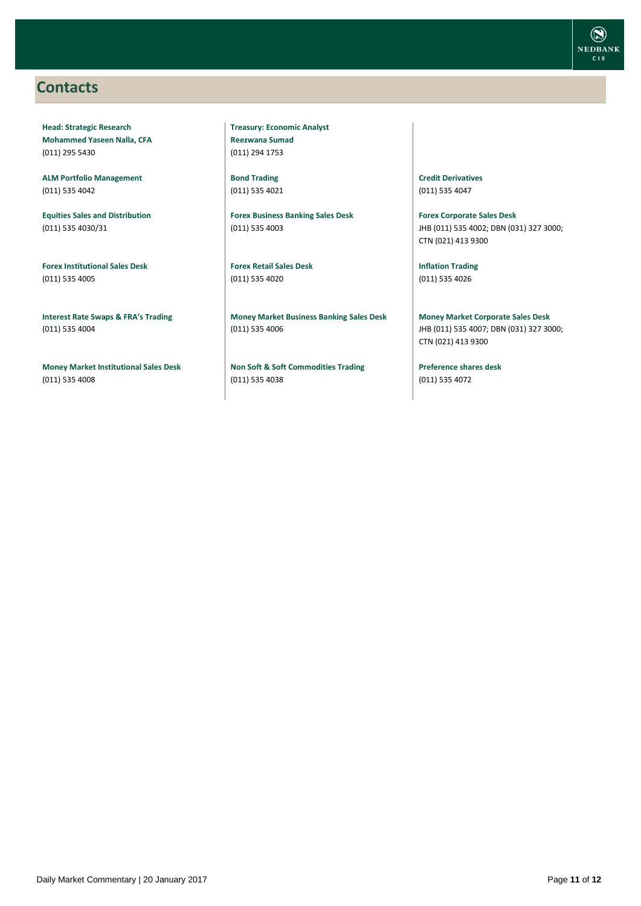## <span id="page-10-0"></span>**Contacts**

**Head: Strategic Research Mohammed Yaseen Nalla, CFA** (011) 295 5430

**ALM Portfolio Management** (011) 535 4042

**Equities Sales and Distribution** (011) 535 4030/31

**Forex Institutional Sales Desk** (011) 535 4005

**Interest Rate Swaps & FRA's Trading** (011) 535 4004

**Money Market Institutional Sales Desk** (011) 535 4008

**Treasury: Economic Analyst Reezwana Sumad** (011) 294 1753

**Bond Trading** (011) 535 4021

**Forex Business Banking Sales Desk** (011) 535 4003

**Forex Retail Sales Desk** (011) 535 4020

**Money Market Business Banking Sales Desk** (011) 535 4006

**Non Soft & Soft Commodities Trading** (011) 535 4038

**Credit Derivatives**  (011) 535 4047

**Forex Corporate Sales Desk** JHB (011) 535 4002; DBN (031) 327 3000; CTN (021) 413 9300

**Inflation Trading** (011) 535 4026

**Money Market Corporate Sales Desk** JHB (011) 535 4007; DBN (031) 327 3000; CTN (021) 413 9300

**Preference shares desk** (011) 535 4072